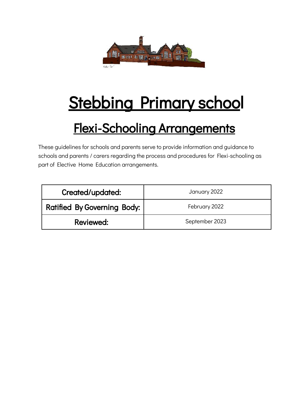

# Stebbing Primary school

# Flexi-Schooling Arrangements

These guidelines for schools and parents serve to provide information and guidance to schools and parents / carers regarding the process and procedures for Flexi-schooling as part of Elective Home Education arrangements.

| Created/updated:                   | January 2022   |
|------------------------------------|----------------|
| <b>Ratified By Governing Body:</b> | February 2022  |
| Reviewed:                          | September 2023 |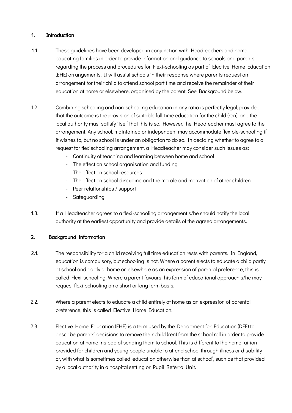#### 1. Introduction

- 1.1. These guidelines have been developed in conjunction with Headteachers and home educating families in order to provide information and guidance to schools and parents regarding the process and procedures for Flexi-schooling as part of Elective Home Education (EHE) arrangements. It will assist schools in their response where parents request an arrangement for their child to attend school part time and receive the remainder of their education at home or elsewhere, organised by the parent. See Background below.
- 1.2. Combining schooling and non-schooling education in any ratio is perfectly legal, provided that the outcome is the provision of suitable full-time education for the child (ren), and the local authority must satisfy itself that this is so. However, the Headteacher must agree to the arrangement. Any school, maintained or independent may accommodate flexible-schooling if it wishes to, but no school is under an obligation to do so. In deciding whether to agree to a request for flexischooling arrangement, a Headteacher may consider such issues as:
	- Continuity of teaching and learning between home and school
	- The effect on school organisation and funding
	- The effect on school resources
	- The effect on school discipline and the morale and motivation of other children
	- Peer relationships / support
	- Safeguarding
- 1.3. If a Headteacher agrees to a flexi-schooling arrangement s/he should notify the local authority at the earliest opportunity and provide details of the agreed arrangements.

# 2. Background Information

- 2.1. The responsibility for a child receiving full time education rests with parents. In England, education is compulsory, but schooling is not. Where a parent elects to educate a child partly at school and partly at home or, elsewhere as an expression of parental preference, this is called Flexi-schooling. Where a parent favours this form of educational approach s/he may request flexi-schooling on a short or long term basis.
- 2.2. Where a parent elects to educate a child entirely at home as an expression of parental preference, this is called Elective Home Education.
- 2.3. Elective Home Education (EHE) is a term used by the Department for Education (DFE) to describe parents' decisions to remove their child (ren) from the school roll in order to provide education at home instead of sending them to school. This is different to the home tuition provided for children and young people unable to attend school through illness or disability or, with what is sometimes called 'education otherwise than at school', such as that provided by a local authority in a hospital setting or Pupil Referral Unit.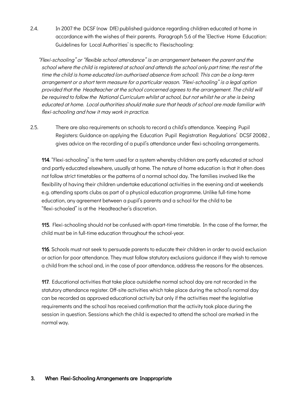2.4. In 2007 the DCSF (now DfE) published guidance regarding children educated at home in accordance with the wishes of their parents. Paragraph 5.6 of the 'Elective Home Education: Guidelines for Local Authorities' is specific to Flexischooling:

"Flexi-schooling" or "flexible school attendance" is an arrangement between the parent and the school where the child is registered at school and attends the school only part time; the rest of the time the child is home educated (on authorised absence from school). This can be a long-term arrangement or a short term measure for a particular reason. "Flexi-schooling" is a legal option provided that the Headteacher at the school concerned agrees to the arrangement. The child will be required to follow the National Curriculum whilst at school, but not whilst he or she is being educated at home. Local authorities should make sure that heads of school are made familiar with flexi-schooling and how it may work in practice.

2.5. There are also requirements on schools to record a child's attendance. 'Keeping Pupil Registers: Guidance on applying the Education Pupil Registration Regulations' DCSF 20082 , gives advice on the recording of a pupil's attendance under flexi-schooling arrangements.

114. "Flexi-schooling" is the term used for a system whereby children are partly educated at school and partly educated elsewhere, usually at home. The nature of home education is that it often does not follow strict timetables or the patterns of a normal school day. The families involved like the flexibility of having their children undertake educational activities in the evening and at weekends e.g. attending sports clubs as part of a physical education programme. Unlike full-time home education, any agreement between a pupil's parents and a school for the child to be "flexi-schooled" is at the Headteacher's discretion.

115. Flexi-schooling should not be confused with apart-time timetable. In the case of the former, the child must be in full-time education throughout the school-year.

116. Schools must not seek to persuade parents to educate their children in order to avoid exclusion or action for poor attendance. They must follow statutory exclusions guidance if they wish to remove a child from the school and, in the case of poor attendance, address the reasons for the absences.

117. Educational activities that take place outsidethe normal school day are not recorded in the statutory attendance register. Off-site activities which take place during the school's normal day can be recorded as approved educational activity but only if the activities meet the legislative requirements and the school has received confirmation that the activity took place during the session in question. Sessions which the child is expected to attend the school are marked in the normal way.

# 3. When Flexi-Schooling Arrangements are Inappropriate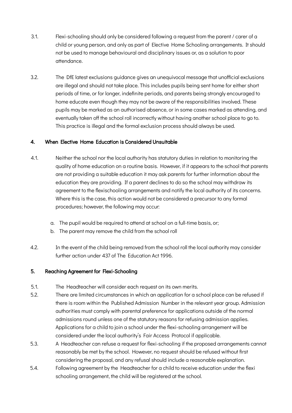- 3.1. Flexi-schooling should only be considered following a request from the parent / carer of a child or young person, and only as part of Elective Home Schooling arrangements. It should not be used to manage behavioural and disciplinary issues or, as a solution to poor attendance.
- 3.2. The DfE latest exclusions guidance gives an unequivocal message that unofficial exclusions are illegal and should not take place. This includes pupils being sent home for either short periods of time, or for longer, indefinite periods, and parents being strongly encouraged to home educate even though they may not be aware of the responsibilities involved. These pupils may be marked as an authorised absence, or in some cases marked as attending, and eventually taken off the school roll incorrectly without having another school place to go to. This practice is illegal and the formal exclusion process should always be used.

# 4. When Elective Home Education is Considered Unsuitable

- 4.1. Neither the school nor the local authority has statutory duties in relation to monitoring the quality of home education on a routine basis. However, if it appears to the school that parents are not providing a suitable education it may ask parents for further information about the education they are providing. If a parent declines to do so the school may withdraw its agreement to the flexischooling arrangements and notify the local authority of its concerns. Where this is the case, this action would not be considered a precursor to any formal procedures; however, the following may occur:
	- a. The pupil would be required to attend at school on a full-time basis, or;
	- b. The parent may remove the child from the school roll
- 4.2. In the event of the child being removed from the school roll the local authority may consider further action under 437 of The Education Act 1996.

#### 5. Reaching Agreement for Flexi-Schooling

- 5.1. The Headteacher will consider each request on its own merits.
- 5.2. There are limited circumstances in which an application for a school place can be refused if there is room within the Published Admission Number in the relevant year group. Admission authorities must comply with parental preference for applications outside of the normal admissions round unless one of the statutory reasons for refusing admission applies. Applications for a child to join a school under the flexi-schooling arrangement will be considered under the local authority's Fair Access Protocol if applicable.
- 5.3. A Headteacher can refuse a request for flexi-schooling if the proposed arrangements cannot reasonably be met by the school. However, no request should be refused without first considering the proposal, and any refusal should include a reasonable explanation.
- 5.4. Following agreement by the Headteacher for a child to receive education under the flexi schooling arrangement, the child will be registered at the school.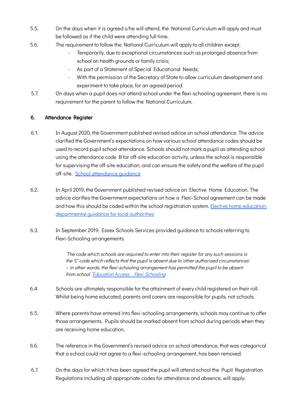- 5.5. On the days when it is agreed s/he will attend, the National Curriculum will apply and must be followed as if the child were attending full time.
- 5.6. The requirement to follow the National Curriculum will apply to all children except.
	- Temporarily, due to exceptional circumstances such as prolonged absence from school on health grounds or family crisis;
	- As part of a Statement of Special Educational Needs;
	- With the permission of the Secretary of State to allow curriculum development and experiment to take place, for an agreed period.
- 5.7. On days when a pupil does not attend school under the flexi-schooling agreement, there is no requirement for the parent to follow the National Curriculum.

# 6. Attendance Register

- 6.1. In August 2020, the Government published revised advice on school attendance. The advice clarified the Government's expectations on how various school attendance codes should be used to record pupil school attendance. Schools should not mark a pupil as attending school using the attendance code B for off-site education activity, unless the school is responsible for supervising the off-site education, and can ensure the safety and the welfare of the pupil off-site. School attendance quidance
- 6.2. In April 2019, the Government published revised advice on Elective Home Education. The advice clarifies the Government expectations on how a Flexi-School agreement can be made and how this should be coded within the school registration system. [Elective home education:](https://assets.publishing.service.gov.uk/government/uploads/system/uploads/attachment_data/file/791527/Elective_home_education_gudiance_for_LAv2.0.pdf) [departmental guidance for local authorities](https://assets.publishing.service.gov.uk/government/uploads/system/uploads/attachment_data/file/791527/Elective_home_education_gudiance_for_LAv2.0.pdf)
- 6.3. In September 2019, Essex Schools Services provided guidance to schools referring to Flexi-Schooling arrangements.

'The code which schools are required to enter into their register for any such sessions is the 'C' code which reflects that the pupil is absent due to 'other authorised circumstances' – in other words, the flexi-schooling arrangement has permitted the pupil to be absent from school. ['Education Access - Flexi-Schooling](https://schools.essex.gov.uk/pupils/Education_Access/Pages/Flexi-Schooling.aspx)

- 6.4. Schools are ultimately responsible for the attainment of every child registered on their roll. Whilst being home educated, parents and carers are responsible for pupils, not schools.
- 6.5. Where parents have entered into flexi-schooling arrangements, schools may continue to offer those arrangements. Pupils should be marked absent from school during periods when they are receiving home education.
- 6.6. The reference in the Government's revised advice on school attendance, that was categorical that a school could not agree to a flexi-schooling arrangement, has been removed.
- 6.7. On the days for which it has been agreed the pupil will attend school the Pupil Registration Regulations including all appropriate codes for attendance and absence, will apply: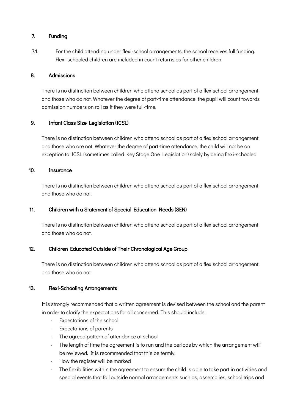# 7. Funding

7.1. For the child attending under flexi-school arrangements, the school receives full funding. Flexi-schooled children are included in count returns as for other children.

# 8. Admissions

There is no distinction between children who attend school as part of a flexischool arrangement, and those who do not. Whatever the degree of part-time attendance, the pupil will count towards admission numbers on roll as if they were full-time.

# 9. Infant Class Size Legislation (ICSL)

There is no distinction between children who attend school as part of a flexischool arrangement, and those who are not. Whatever the degree of part-time attendance, the child will not be an exception to ICSL (sometimes called Key Stage One Legislation) solely by being flexi-schooled.

#### 10. Insurance

There is no distinction between children who attend school as part of a flexischool arrangement, and those who do not.

# 11. Children with a Statement of Special Education Needs (SEN)

There is no distinction between children who attend school as part of a flexischool arrangement, and those who do not.

# 12. Children Educated Outside of Their Chronological Age Group

There is no distinction between children who attend school as part of a flexischool arrangement, and those who do not.

# 13. Flexi-Schooling Arrangements

It is strongly recommended that a written agreement is devised between the school and the parent in order to clarify the expectations for all concerned. This should include:

- Expectations of the school
- Expectations of parents
- The agreed pattern of attendance at school
- The length of time the agreement is to run and the periods by which the arrangement will be reviewed. It is recommended that this be termly.
- How the register will be marked
- The flexibilities within the agreement to ensure the child is able to take part in activities and special events that fall outside normal arrangements such as, assemblies, school trips and